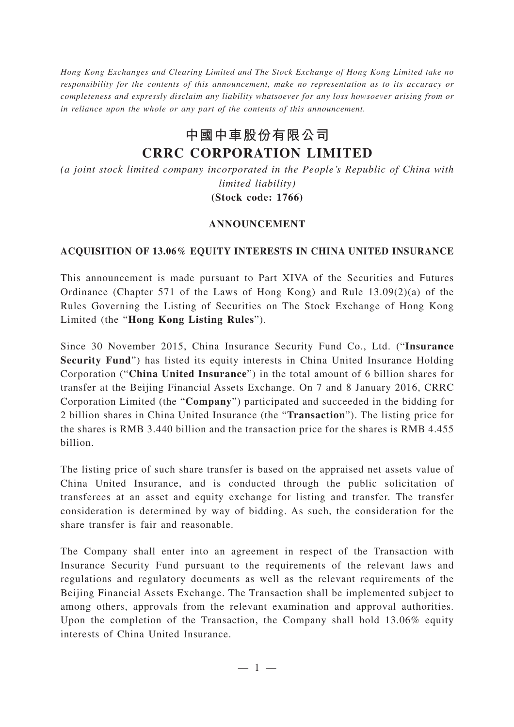*Hong Kong Exchanges and Clearing Limited and The Stock Exchange of Hong Kong Limited take no responsibility for the contents of this announcement, make no representation as to its accuracy or completeness and expressly disclaim any liability whatsoever for any loss howsoever arising from or in reliance upon the whole or any part of the contents of this announcement.*

## **中國中車股份有限公司 CRRC CORPORATION LIMITED**

*(a joint stock limited company incorporated in the People's Republic of China with limited liability)* **(Stock code: 1766)**

## **ANNOUNCEMENT**

## **ACQUISITION OF 13.06% EQUITY INTERESTS IN CHINA UNITED INSURANCE**

This announcement is made pursuant to Part XIVA of the Securities and Futures Ordinance (Chapter 571 of the Laws of Hong Kong) and Rule 13.09(2)(a) of the Rules Governing the Listing of Securities on The Stock Exchange of Hong Kong Limited (the "**Hong Kong Listing Rules**").

Since 30 November 2015, China Insurance Security Fund Co., Ltd. ("**Insurance Security Fund**") has listed its equity interests in China United Insurance Holding Corporation ("**China United Insurance**") in the total amount of 6 billion shares for transfer at the Beijing Financial Assets Exchange. On 7 and 8 January 2016, CRRC Corporation Limited (the "**Company**") participated and succeeded in the bidding for 2 billion shares in China United Insurance (the "**Transaction**"). The listing price for the shares is RMB 3.440 billion and the transaction price for the shares is RMB 4.455 billion.

The listing price of such share transfer is based on the appraised net assets value of China United Insurance, and is conducted through the public solicitation of transferees at an asset and equity exchange for listing and transfer. The transfer consideration is determined by way of bidding. As such, the consideration for the share transfer is fair and reasonable.

The Company shall enter into an agreement in respect of the Transaction with Insurance Security Fund pursuant to the requirements of the relevant laws and regulations and regulatory documents as well as the relevant requirements of the Beijing Financial Assets Exchange. The Transaction shall be implemented subject to among others, approvals from the relevant examination and approval authorities. Upon the completion of the Transaction, the Company shall hold 13.06% equity interests of China United Insurance.